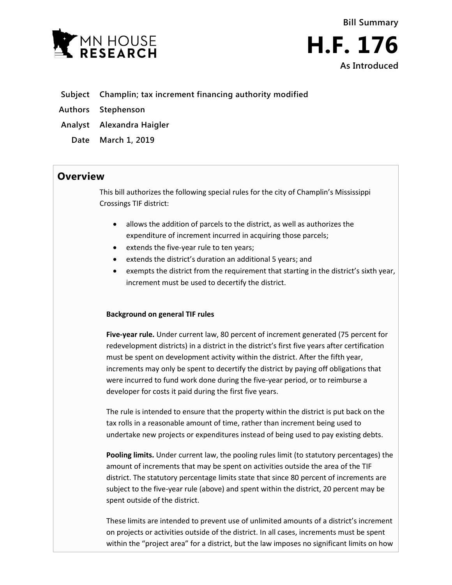



- **Subject Champlin; tax increment financing authority modified**
- **Authors Stephenson**
- **Analyst Alexandra Haigler**
	- **Date March 1, 2019**

## **Overview**

This bill authorizes the following special rules for the city of Champlin's Mississippi Crossings TIF district:

- allows the addition of parcels to the district, as well as authorizes the expenditure of increment incurred in acquiring those parcels;
- extends the five-year rule to ten years;
- extends the district's duration an additional 5 years; and
- exempts the district from the requirement that starting in the district's sixth year, increment must be used to decertify the district.

## **Background on general TIF rules**

**Five-year rule.** Under current law, 80 percent of increment generated (75 percent for redevelopment districts) in a district in the district's first five years after certification must be spent on development activity within the district. After the fifth year, increments may only be spent to decertify the district by paying off obligations that were incurred to fund work done during the five-year period, or to reimburse a developer for costs it paid during the first five years.

The rule is intended to ensure that the property within the district is put back on the tax rolls in a reasonable amount of time, rather than increment being used to undertake new projects or expenditures instead of being used to pay existing debts.

**Pooling limits.** Under current law, the pooling rules limit (to statutory percentages) the amount of increments that may be spent on activities outside the area of the TIF district. The statutory percentage limits state that since 80 percent of increments are subject to the five-year rule (above) and spent within the district, 20 percent may be spent outside of the district.

These limits are intended to prevent use of unlimited amounts of a district's increment on projects or activities outside of the district. In all cases, increments must be spent within the "project area" for a district, but the law imposes no significant limits on how